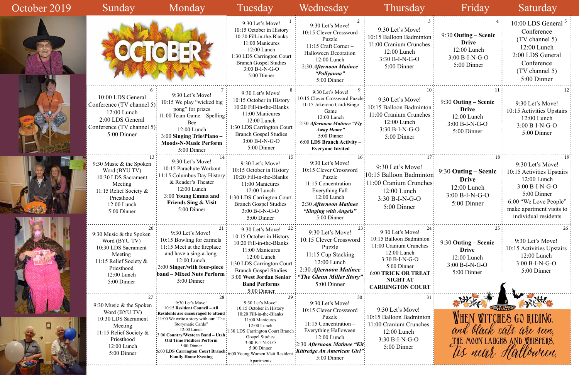| 3<br>on<br>es                   | 4<br>9:30 Outing - Scenic<br><b>Drive</b><br>12:00 Lunch<br>$3:00 B-I-N-G-O$<br>5:00 Dinner    | 10:00 LDS General <sup>5</sup><br>Conference<br>(TV channel 5)<br>12:00 Lunch<br>2:00 LDS General<br>Conference<br>(TV channel 5)<br>5:00 Dinner                                 |
|---------------------------------|------------------------------------------------------------------------------------------------|----------------------------------------------------------------------------------------------------------------------------------------------------------------------------------|
| 10<br>юn<br>es                  | 11<br>9:30 Outing – Scenic<br><b>Drive</b><br>12:00 Lunch<br>$3:00 B-I-N-G-O$<br>5:00 Dinner   | 12<br>9:30 Let's Move!<br>10:15 Activities Upstairs<br>$12:00$ Lunch<br>$3:00 B-I-N-G-O$<br>5:00 Dinner                                                                          |
| 17<br>ton<br><b>nes</b>         | 18<br>9:30 Outing – Scenic<br><b>Drive</b><br>$12:00$ Lunch<br>$3:00 B-I-N-G-O$<br>5:00 Dinner | 19<br>9:30 Let's Move!<br>10:15 Activities Upstairs<br>12:00 Lunch<br>3:00 B-I-N-G-O<br>5:00 Dinner<br>6:00 "We Love People"<br>make apartment visits to<br>individual residents |
| 24<br>ρn<br>$\mathbf{S}$<br>YГ  | 25<br>9:30 Outing – Scenic<br><b>Drive</b><br>$12:00$ Lunch<br>3:00 B-I-N-G-O<br>5:00 Dinner   | 26<br>9:30 Let's Move!<br>10:15 Activities Upstairs<br>12:00 Lunch<br>$3:00 B-I-N-G-O$<br>5:00 Dinner                                                                            |
| ZТ<br>31                        |                                                                                                |                                                                                                                                                                                  |
| on<br>$\overline{\mathbf{c}}$ s | THE MOON LAUGHS AND WHISPERS.                                                                  | HEN WITCHES GO RIDING,<br>and black cats are seen,                                                                                                                               |

| October 2019 | Sunday                                                                                                                                                 | Monday                                                                                                                                                                                                                                                                                                                              | Tuesday                                                                                                                                                                                                                                                | Wednesday                                                                                                                                                                                                                   | Thursday                                                                                                                                                                                                | Friday                                                                                   | Saturday                                                                                                                                                                     |
|--------------|--------------------------------------------------------------------------------------------------------------------------------------------------------|-------------------------------------------------------------------------------------------------------------------------------------------------------------------------------------------------------------------------------------------------------------------------------------------------------------------------------------|--------------------------------------------------------------------------------------------------------------------------------------------------------------------------------------------------------------------------------------------------------|-----------------------------------------------------------------------------------------------------------------------------------------------------------------------------------------------------------------------------|---------------------------------------------------------------------------------------------------------------------------------------------------------------------------------------------------------|------------------------------------------------------------------------------------------|------------------------------------------------------------------------------------------------------------------------------------------------------------------------------|
|              |                                                                                                                                                        | O(                                                                                                                                                                                                                                                                                                                                  | 9:30 Let's Move!<br>10:15 October in History<br>10:20 Fill-in-the-Blanks<br>11:00 Manicures<br>12:00 Lunch<br>1:30 LDS Carrington Court<br><b>Branch Gospel Studies</b><br>3:00 B-I-N-G-O<br>5:00 Dinner                                               | 9:30 Let's Move!<br>10:15 Clever Crossword<br>Puzzle<br>$11:15$ Craft Corner –<br><b>Halloween Decoration</b><br>12:00 Lunch<br>2:30 Afternoon Matinee<br>"Pollyanna"<br>5:00 Dinner                                        | 9:30 Let's Move!<br>10:15 Balloon Badminton<br>11:00 Cranium Crunches<br>12:00 Lunch<br>$3:30 B-I-N-G-O$<br>5:00 Dinner                                                                                 | 9:30 Outing – Scenic<br><b>Drive</b><br>$12:00$ Lunch<br>$3:00 B-I-N-G-O$<br>5:00 Dinner | 10:00 LDS General $5$<br>Conference<br>(TV channel 5)<br>$12:00$ Lunch<br>2:00 LDS General<br>Conference<br>(TV channel 5)<br>5:00 Dinner                                    |
|              | 10:00 LDS General<br>Conference (TV channel 5):<br>$12:00$ Lunch<br>2:00 LDS General<br>Conference (TV channel 5):<br>5:00 Dinner                      | 9:30 Let's Move!<br>10:15 We play "wicked big<br>pong" for prizes<br>$: 11:00$ Team Game – Spelling<br><b>Bee</b><br>12:00 Lunch<br>3:00 Singing Trio/Piano -<br><b>Moods-N-Music Perform</b><br>5:00 Dinner                                                                                                                        | 9:30 Let's Move!<br>10:15 October in History<br>10:20 Fill-in-the-Blanks<br>11:00 Manicures<br>$12:00$ Lunch<br>1:30 LDS Carrington Court<br><b>Branch Gospel Studies</b><br>3:00 B-I-N-G-O<br>5:00 Dinner                                             | 9:30 Let's Move!<br>10:15 Clever Crossword Puzzle:<br>11:15 Jokereno Card/Bingo<br>Game<br>12:00 Lunch<br>2:30 Afternoon Matinee "Fly<br>Away Home"<br>5:00 Dinner<br>6:00 LDS Branch Activity -<br><b>Everyone Invited</b> | 10.<br>9:30 Let's Move!<br>10:15 Balloon Badminton<br>11:00 Cranium Crunches<br>12:00 Lunch<br>$3:30 B-I-N-G-O$<br>5:00 Dinner                                                                          | 9:30 Outing – Scenic<br><b>Drive</b><br>12:00 Lunch<br>$3:00 B-I-N-G-O$<br>5:00 Dinner   | 9:30 Let's Move!<br>10:15 Activities Upstairs<br>12:00 Lunch<br>$3:00 B-I-N-G-O$<br>5:00 Dinner                                                                              |
|              | 9:30 Music & the Spoken<br>Word (BYU TV)<br>10:30 LDS Sacrament<br>Meeting<br>11:15 Relief Society &<br>Priesthood<br>12:00 Lunch<br>5:00 Dinner       | 9:30 Let's Move!<br>10:15 Parachute Workout<br>: 11:15 Columbus Day History<br>& Reader's Theater<br>$12:00$ Lunch<br>3:00 Young Emma and<br><b>Friends Sing &amp; Visit</b><br>5:00 Dinner                                                                                                                                         | 9:30 Let's Move!<br>10:15 October in History<br>10:20 Fill-in-the-Blanks<br>11:00 Manicures<br>12:00 Lunch<br>1:30 LDS Carrington Court<br><b>Branch Gospel Studies</b><br>$3:00 B-I-N-G-O$<br>5:00 Dinner                                             | 9:30 Let's Move!<br>10:15 Clever Crossword<br>Puzzle<br>$11:15$ Concentration -<br><b>Everything Fall</b><br>12:00 Lunch<br>2:30 Afternoon Matinee<br>"Singing with Angels"<br>5:00 Dinner                                  | 9:30 Let's Move!<br>:10:15 Balloon Badminton<br>11:00 Cranium Crunches:<br>12:00 Lunch<br>$3:30 B-I-N-G-O$<br>5:00 Dinner                                                                               | 9:30 Outing – Scenic<br><b>Drive</b><br>$12:00$ Lunch<br>$3:00 B-I-N-G-O$<br>5:00 Dinner | 9:30 Let's Move!<br>10:15 Activities Upstairs<br>12:00 Lunch<br>$3:00 B-I-N-G-O$<br>5:00 Dinner<br>6:00 "We Love People"<br>make apartment visits to<br>individual residents |
|              | 20<br>9:30 Music & the Spoken<br>Word (BYU TV)<br>10:30 LDS Sacrament<br>Meeting<br>11:15 Relief Society &<br>Priesthood<br>12:00 Lunch<br>5:00 Dinner | 21<br>9:30 Let's Move!<br>10:15 Bowling for carmels<br>11:15 Meet at the fireplace<br>and have a sing-a-long<br>12:00 Lunch<br>:3:00 Singer/with four-piece<br>band – Mixed Nuts Perform<br>5:00 Dinner                                                                                                                             | 9:30 Let's Move! $22$<br>10:15 October in History<br>10:20 Fill-in-the-Blanks<br>11:00 Manicures<br>12:00 Lunch<br>1:30 LDS Carrington Court<br><b>Branch Gospel Studies</b><br>3:00 West Jordan Senior<br><b>Band Performs</b><br>5:00 Dinner         | 9:30 Let's Move!<br>10:15 Clever Crossword<br>Puzzle<br>11:15 Cup Stacking<br>$12:00$ Lunch<br>2:30 Afternoon Matinee<br>"The Glenn Miller Story":<br>5:00 Dinner                                                           | 24<br>9:30 Let's Move!<br>10:15 Balloon Badminton<br>11:00 Cranium Crunches<br>12:00 Lunch<br>3:30 B-I-N-G-O<br>5:00 Dinner<br><b>6:00 TRICK OR TREAT</b><br><b>NIGHT AT</b><br><b>CARRINGTON COURT</b> | 9:30 Outing – Scenic<br><b>Drive</b><br>12:00 Lunch<br>$3:00 B-I-N-G-O$<br>5:00 Dinner   | 9:30 Let's Move!<br>10:15 Activities Upstairs<br>12:00 Lunch<br>3:00 B-I-N-G-O<br>5:00 Dinner                                                                                |
|              | 9:30 Music & the Spoken<br>Word (BYU TV)<br>10:30 LDS Sacrament<br>Meeting<br>11:15 Relief Society &<br>Priesthood<br>12:00 Lunch<br>5:00 Dinner       | 9:30 Let's Move!<br>10:15 Resident Council - All<br>: Residents are encouraged to attend<br>: 11:00 We write a story with our "The :<br>Storymatic Cards"<br>12:00 Lunch<br>3:00 Country/Western Band - Utah<br><b>Old Time Fiddlers Perform</b><br>5:00 Dinner<br>:6:00 LDS Carrington Court Branch:<br><b>Family Home Evening</b> | 29<br>9:30 Let's Move!<br>10:15 October in History<br>10:20 Fill-in-the-Blanks<br>11:00 Manicures<br>12:00 Lunch<br>:30 LDS Carrington Court Branch<br>Gospel Studies<br>3:00 B-I-N-G-O<br>5:00 Dinner<br>6:00 Young Women Visit Residen<br>Apartments | 9:30 Let's Move!<br>10:15 Clever Crossword<br>Puzzle<br>11:15 Concentration -<br><b>Everything Halloween</b><br>12:00 Lunch<br>:2:30 Afternoon Matinee "Kit:<br>:Kittredge An American Girl":<br>5:00 Dinner                | 9:30 Let's Move!<br>: 10:15 Balloon Badminton<br>11:00 Cranium Crunches<br>12:00 Lunch<br>3:30 B-I-N-G-O<br>5:00 Dinner                                                                                 |                                                                                          | WHEN WITCHES GO RIDING.<br>and black cats are seen.<br>MOON LAUGHS AND WHISPERS.                                                                                             |

 $\frac{1}{2}$ 

## Friday Saturday